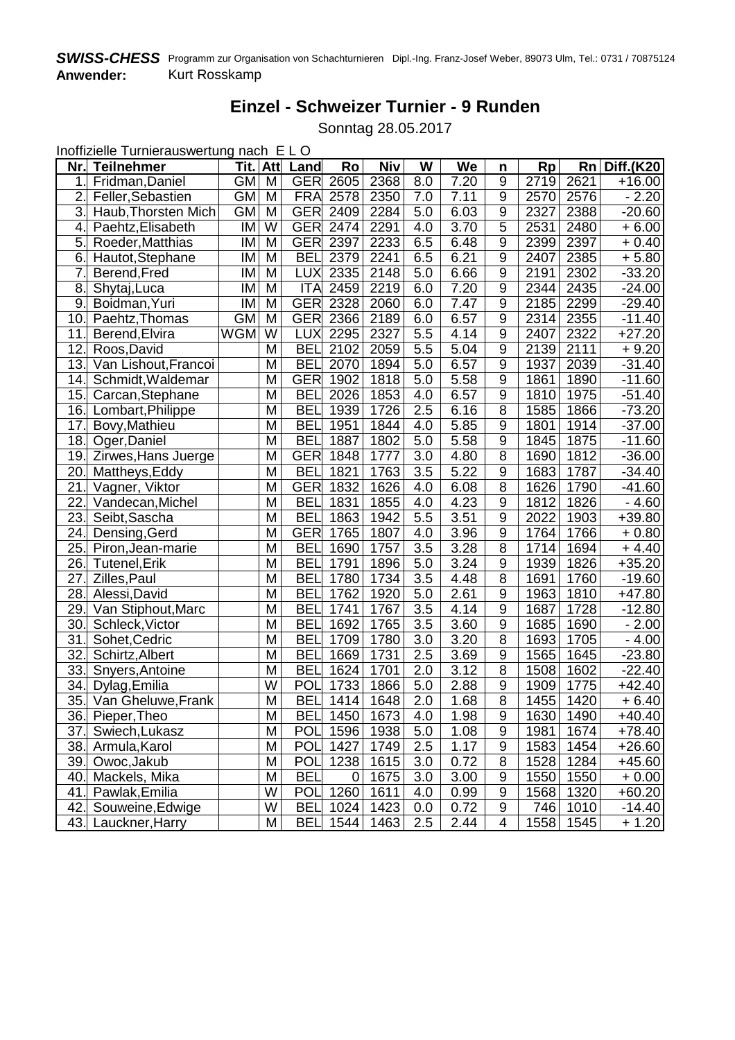## **Einzel - Schweizer Turnier - 9 Runden**

Sonntag 28.05.2017

Inoffizielle Turnierauswertung nach E L O

| Nr.              | <b>Teilnehmer</b>    | Tit.       | <b>Att</b>              | Land       | Ro              | Niv  | W                | We   | n                | <b>Rp</b> | Rn   | <b>Diff.(K20</b> |
|------------------|----------------------|------------|-------------------------|------------|-----------------|------|------------------|------|------------------|-----------|------|------------------|
| 1.1              | Fridman, Daniel      | <b>GM</b>  | M                       | <b>GER</b> | 2605            | 2368 | 8.0              | 7.20 | $\overline{9}$   | 2719      | 2621 | $+16.00$         |
| $\overline{2}$ . | Feller, Sebastien    | <b>GM</b>  | M                       | <b>FRA</b> | 2578            | 2350 | 7.0              | 7.11 | $\overline{9}$   | 2570      | 2576 | $-2.20$          |
| 3.               | Haub, Thorsten Mich  | <b>GM</b>  | M                       | <b>GER</b> | 2409            | 2284 | 5.0              | 6.03 | $\overline{9}$   | 2327      | 2388 | $-20.60$         |
| 4.               | Paehtz, Elisabeth    | IM         | $\overline{\mathsf{W}}$ | <b>GER</b> | 2474            | 2291 | 4.0              | 3.70 | $\overline{5}$   | 2531      | 2480 | $+6.00$          |
| 5.               | Roeder, Matthias     | IM         | M                       | <b>GER</b> | 2397            | 2233 | 6.5              | 6.48 | 9                | 2399      | 2397 | $+0.40$          |
| 6.               | Hautot, Stephane     | IM         | M                       | <b>BEL</b> | 2379            | 2241 | 6.5              | 6.21 | 9                | 2407      | 2385 | $+5.80$          |
| 7.               | Berend, Fred         | IM         | M                       | <b>LUX</b> | 2335            | 2148 | 5.0              | 6.66 | 9                | 2191      | 2302 | $-33.20$         |
| 8.               | Shytaj, Luca         | IM         | M                       | <b>ITA</b> | 2459            | 2219 | 6.0              | 7.20 | 9                | 2344      | 2435 | $-24.00$         |
| 9.               | Boidman, Yuri        | IM         | M                       | <b>GER</b> | 2328            | 2060 | 6.0              | 7.47 | $9\,$            | 2185      | 2299 | $-29.40$         |
| 10.              | Paehtz, Thomas       | <b>GM</b>  | M                       | <b>GER</b> | 2366            | 2189 | 6.0              | 6.57 | 9                | 2314      | 2355 | $-11.40$         |
| 11.              | Berend, Elvira       | <b>WGM</b> | $\overline{\mathsf{W}}$ | <b>LUX</b> | 2295            | 2327 | 5.5              | 4.14 | $9\,$            | 2407      | 2322 | $+27.20$         |
| 12.              | Roos, David          |            | M                       | <b>BEL</b> | 2102            | 2059 | 5.5              | 5.04 | $\overline{9}$   | 2139      | 2111 | $+9.20$          |
| 13.              | Van Lishout, Francoi |            | M                       | <b>BEL</b> | 2070            | 1894 | 5.0              | 6.57 | $9\,$            | 1937      | 2039 | $-31.40$         |
| 14.              | Schmidt, Waldemar    |            | M                       | <b>GER</b> | 1902            | 1818 | 5.0              | 5.58 | 9                | 1861      | 1890 | $-11.60$         |
| 15.              | Carcan, Stephane     |            | M                       | <b>BEL</b> | 2026            | 1853 | 4.0              | 6.57 | 9                | 1810      | 1975 | $-51.40$         |
| 16.              | Lombart, Philippe    |            | M                       | <b>BEL</b> | 1939            | 1726 | 2.5              | 6.16 | 8                | 1585      | 1866 | $-73.20$         |
| 17.              | Bovy, Mathieu        |            | M                       | <b>BEL</b> | 1951            | 1844 | 4.0              | 5.85 | $\boldsymbol{9}$ | 1801      | 1914 | $-37.00$         |
| 18.              | Oger, Daniel         |            | M                       | <b>BEL</b> | 1887            | 1802 | 5.0              | 5.58 | 9                | 1845      | 1875 | $-11.60$         |
| 19.              | Zirwes, Hans Juerge  |            | M                       | <b>GER</b> | 1848            | 1777 | 3.0              | 4.80 | 8                | 1690      | 1812 | $-36.00$         |
| 20               | Mattheys, Eddy       |            | M                       | <b>BEL</b> | 1821            | 1763 | 3.5              | 5.22 | $9\,$            | 1683      | 1787 | $-34.40$         |
| 21               | Vagner, Viktor       |            | M                       | <b>GER</b> | 1832            | 1626 | 4.0              | 6.08 | 8                | 1626      | 1790 | $-41.60$         |
| 22.              | Vandecan, Michel     |            | M                       | <b>BEL</b> | 1831            | 1855 | 4.0              | 4.23 | 9                | 1812      | 1826 | $-4.60$          |
| 23.              | Seibt, Sascha        |            | M                       | <b>BEL</b> | 1863            | 1942 | 5.5              | 3.51 | 9                | 2022      | 1903 | $+39.80$         |
| 24.              | Densing, Gerd        |            | M                       | <b>GER</b> | 1765            | 1807 | 4.0              | 3.96 | 9                | 1764      | 1766 | $+0.80$          |
| 25.              | Piron, Jean-marie    |            | M                       | <b>BEL</b> | 1690            | 1757 | 3.5              | 3.28 | 8                | 1714      | 1694 | $+4.40$          |
| 26.              | <b>Tutenel, Erik</b> |            | M                       | <b>BEL</b> | 1791            | 1896 | 5.0              | 3.24 | $\overline{9}$   | 1939      | 1826 | $+35.20$         |
| 27.              | Zilles, Paul         |            | $\overline{\mathsf{M}}$ | <b>BEL</b> | 1780            | 1734 | 3.5              | 4.48 | $\overline{8}$   | 1691      | 1760 | $-19.60$         |
| 28.              | Alessi, David        |            | $\overline{\mathsf{M}}$ | <b>BEL</b> | 1762            | 1920 | $\overline{5.0}$ | 2.61 | $\overline{9}$   | 1963      | 1810 | $+47.80$         |
| 29.              | Van Stiphout, Marc   |            | $\overline{\mathsf{M}}$ | <b>BEL</b> | 1741            | 1767 | $\overline{3.5}$ | 4.14 | $\overline{9}$   | 1687      | 1728 | $-12.80$         |
| 30.              | Schleck, Victor      |            | M                       | <b>BEL</b> | 1692            | 1765 | 3.5              | 3.60 | $\overline{9}$   | 1685      | 1690 | $-2.00$          |
| 31.              | Sohet, Cedric        |            | M                       | <b>BEL</b> | 1709            | 1780 | 3.0              | 3.20 | $\overline{8}$   | 1693      | 1705 | $-4.00$          |
| 32.              | Schirtz, Albert      |            | M                       | <b>BEL</b> | 1669            | 1731 | $2.\overline{5}$ | 3.69 | 9                | 1565      | 1645 | $-23.80$         |
| 33.              | Snyers, Antoine      |            | M                       | <b>BEL</b> | 1624            | 1701 | 2.0              | 3.12 | $\overline{8}$   | 1508      | 1602 | $-22.40$         |
| 34.              | Dylag, Emilia        |            | $\overline{\mathsf{w}}$ | POL        | 1733            | 1866 | 5.0              | 2.88 | $9$              | 1909      | 1775 | $+42.40$         |
| 35.              | Van Gheluwe, Frank   |            | M                       | <b>BEL</b> | 1414            | 1648 | 2.0              | 1.68 | $\overline{8}$   | 1455      | 1420 | $+6.40$          |
|                  | 36. Pieper, Theo     |            | $\overline{\mathsf{M}}$ |            | <b>BEL</b> 1450 | 1673 | $\overline{4.0}$ | 1.98 | $\overline{9}$   | 1630      | 1490 | $+40.40$         |
|                  | 37. Swiech, Lukasz   |            | М                       | <b>POL</b> | 1596            | 1938 | 5.0              | 1.08 | 9                | 1981      | 1674 | $+78.40$         |
|                  | 38. Armula, Karol    |            | M                       |            | <b>POL</b> 1427 | 1749 | 2.5              | 1.17 | 9                | 1583      | 1454 | $+26.60$         |
|                  | 39. Owoc, Jakub      |            | М                       |            | <b>POL</b> 1238 | 1615 | 3.0              | 0.72 | 8                | 1528      | 1284 | $+45.60$         |
|                  | 40. Mackels, Mika    |            | M                       | <b>BEL</b> | 0               | 1675 | 3.0              | 3.00 | 9                | 1550      | 1550 | $+0.00$          |
|                  | 41. Pawlak, Emilia   |            | W                       |            | POL 1260        | 1611 | 4.0              | 0.99 | 9                | 1568      | 1320 | $+60.20$         |
|                  | 42. Souweine, Edwige |            | W                       | <b>BEL</b> | 1024            | 1423 | 0.0              | 0.72 | 9                | 746       | 1010 | $-14.40$         |
|                  | 43. Lauckner, Harry  |            | M                       | <b>BEL</b> | 1544            | 1463 | 2.5              | 2.44 | 4                | 1558      | 1545 | $+1.20$          |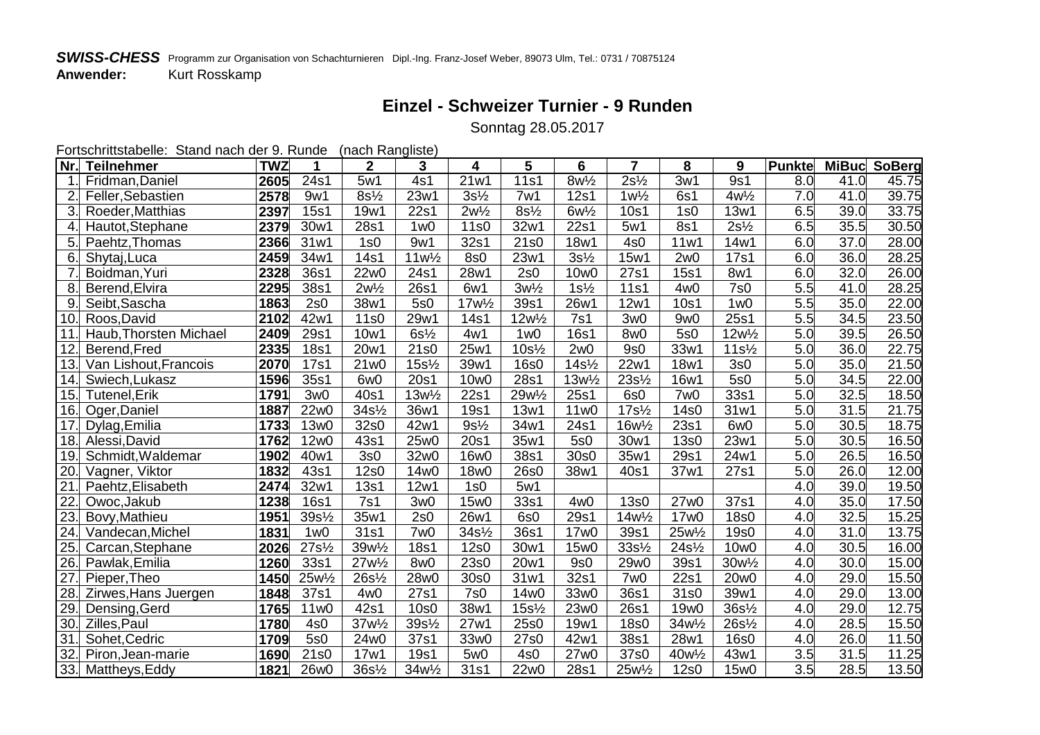## **SWISS-CHESS** Programm zur Organisation von Schachturnieren Dipl.-Ing. Franz-Josef Weber, 89073 Ulm, Tel.: 0731 / 70875124<br>Anwender: Kurt Rosskamp **Kurt Rosskamp**

## **Einzel - Schweizer Turnier - 9 Runden**

Sonntag 28.05.2017

| Fortschrittstabelle: Stand nach der 9. Runde<br>(nach Rangliste) |                        |            |                                 |                                 |                                 |                                   |                                   |                                           |                                   |                                 |                    |               |              |       |
|------------------------------------------------------------------|------------------------|------------|---------------------------------|---------------------------------|---------------------------------|-----------------------------------|-----------------------------------|-------------------------------------------|-----------------------------------|---------------------------------|--------------------|---------------|--------------|-------|
| $Nr$ .                                                           | <b>Teilnehmer</b>      | <b>TWZ</b> | 1                               | $\overline{2}$                  | 3                               | 4                                 | 5                                 | 6                                         | $\overline{7}$                    | 8                               | 9                  | <b>Punkte</b> | MiBuc SoBerg |       |
| $\overline{1}$ .                                                 | Fridman, Daniel        | 2605       | 24s1                            | 5w1                             | 4s1                             | 21w1                              | <b>11s1</b>                       | $8w\frac{1}{2}$                           | $2s\frac{1}{2}$                   | 3w1                             | 9s1                | 8.0           | 41.0         | 45.75 |
| $\overline{2}$                                                   | Feller, Sebastien      | 2578       | 9w1                             | $8s\frac{1}{2}$                 | 23w1                            | $3s\frac{1}{2}$                   | 7w1                               | 12s1                                      | $1w\frac{1}{2}$                   | 6s1                             | $4w\frac{1}{2}$    | 7.0           | 41.0         | 39.75 |
| 3.                                                               | Roeder, Matthias       | 2397       | <b>15s1</b>                     | 19w1                            | 22s1                            | $2w\frac{1}{2}$                   | $8s\frac{1}{2}$                   | $6w\frac{1}{2}$                           | 10 <sub>s</sub> 1                 | 1s0                             | 13w1               | 6.5           | 39.0         | 33.75 |
| 4.                                                               | Hautot, Stephane       | 2379       | 30w1                            | 28s1                            | 1 <sub>W</sub> 0                | 11s0                              | 32w1                              | 22s1                                      | 5w1                               | 8s1                             | $2s\frac{1}{2}$    | 6.5           | 35.5         | 30.50 |
| 5.                                                               | Paehtz, Thomas         | 2366       | 31w1                            | 1s0                             | 9w1                             | 32s1                              | 21s0                              | 18w1                                      | 4s0                               | 11w1                            | 14w1               | 6.0           | 37.0         | 28.00 |
| 6.                                                               | Shytaj, Luca           | 2459       | 34w1                            | 14s1                            | $11w\frac{1}{2}$                | 8s0                               | 23w1                              | $3s\frac{1}{2}$                           | 15w1                              | 2w0                             | 17s1               | 6.0           | 36.0         | 28.25 |
| $\overline{7}$                                                   | Boidman, Yuri          | 2328       | 36s1                            | 22w0                            | 24s1                            | 28w1                              | 2s0                               | 10w0                                      | 27s1                              | <b>15s1</b>                     | 8w1                | 6.0           | 32.0         | 26.00 |
| 8                                                                | Berend, Elvira         | 2295       | 38s1                            | $2w\frac{1}{2}$                 | 26s1                            | 6w1                               | $3w\frac{1}{2}$                   | $1s\frac{1}{2}$                           | <b>11s1</b>                       | 4w <sub>0</sub>                 | $\overline{7s0}$   | 5.5           | 41.0         | 28.25 |
| 9                                                                | Seibt, Sascha          | 1863       | 2s0                             | 38w1                            | 5s0                             | 17w <sup>1</sup> / <sub>2</sub>   | 39s1                              | 26w1                                      | 12w1                              | 10s1                            | 1 <sub>w0</sub>    | 5.5           | 35.0         | 22.00 |
| 10.                                                              | Roos, David            | 2102       | 42w1                            | 11s0                            | 29w1                            | 14s1                              | 12w <sup>1</sup> / <sub>2</sub>   | 7s1                                       | 3w <sub>0</sub>                   | 9w <sub>0</sub>                 | 25s1               | 5.5           | 34.5         | 23.50 |
| 11                                                               | Haub, Thorsten Michael | 2409       | 29s1                            | 10w1                            | $6s\frac{1}{2}$                 | 4w1                               | 1 <sub>W</sub> 0                  | <b>16s1</b>                               | 8w0                               | 5s0                             | $12w\frac{1}{2}$   | 5.0           | 39.5         | 26.50 |
| 12                                                               | Berend, Fred           | 2335       | <b>18s1</b>                     | 20w1                            | 21s0                            | 25w1                              | $10s\frac{1}{2}$                  | 2w0                                       | 9s <sub>0</sub>                   | 33w1                            | $11s\frac{1}{2}$   | 5.0           | 36.0         | 22.75 |
| 13.                                                              | Van Lishout, Francois  | 2070       | 17s1                            | 21w0                            | $15s\frac{1}{2}$                | 39w1                              | <b>16s0</b>                       | $14s$ <sup><math>\frac{1}{2}</math></sup> | 22w1                              | 18w1                            | 3s0                | 5.0           | 35.0         | 21.50 |
| 14.                                                              | Swiech, Lukasz         | 1596       | 35s1                            | 6w <sub>0</sub>                 | 20s1                            | 10w0                              | 28s1                              | $13w\frac{1}{2}$                          | $23s\frac{1}{2}$                  | 16w1                            | 5s0                | 5.0           | 34.5         | 22.00 |
| 15.                                                              | <b>Tutenel, Erik</b>   | 1791       | 3w0                             | 40s1                            | $13w\frac{1}{2}$                | 22s1                              | 29w <sup>1</sup> / <sub>2</sub>   | 25s1                                      | 6s0                               | 7w <sub>0</sub>                 | 33s1               | 5.0           | 32.5         | 18.50 |
| 16.                                                              | Oger, Daniel           | 1887       | 22w0                            | $34s$ <sup>1/2</sup>            | 36w1                            | <b>19s1</b>                       | 13w1                              | 11w0                                      | $17s$ <sup>1</sup> / <sub>2</sub> | 14s0                            | 31w1               | 5.0           | 31.5         | 21.75 |
| 17                                                               | Dylag, Emilia          | 1733       | 13w0                            | 32s0                            | 42w1                            | $9s\frac{1}{2}$                   | 34w1                              | 24s1                                      | 16w <sup>1</sup> / <sub>2</sub>   | 23s1                            | 6w <sub>0</sub>    | 5.0           | 30.5         | 18.75 |
| 18.                                                              | Alessi, David          | 1762       | 12w0                            | 43s1                            | 25w0                            | 20s1                              | 35w1                              | 5s0                                       | 30w1                              | <b>13s0</b>                     | 23w1               | 5.0           | 30.5         | 16.50 |
| 19.                                                              | Schmidt, Waldemar      | 1902       | 40w1                            | 3s0                             | 32w0                            | 16w0                              | 38s1                              | 30s0                                      | 35w1                              | 29s1                            | 24w1               | 5.0           | 26.5         | 16.50 |
| 20.                                                              | Vagner, Viktor         | 1832       | 43s1                            | 12s0                            | 14w0                            | 18w0                              | 26s0                              | 38w1                                      | 40s1                              | 37w1                            | 27s1               | 5.0           | 26.0         | 12.00 |
| $\overline{21}$                                                  | Paehtz, Elisabeth      | 2474       | 32w1                            | 13s1                            | 12w1                            | 1s0                               | 5w1                               |                                           |                                   |                                 |                    | 4.0           | 39.0         | 19.50 |
| $\overline{22}$                                                  | Owoc, Jakub            | 1238       | <b>16s1</b>                     | 7s1                             | 3w <sub>0</sub>                 | 15w0                              | 33s1                              | 4w <sub>0</sub>                           | <b>13s0</b>                       | 27w0                            | 37s1               | 4.0           | 35.0         | 17.50 |
| 23.                                                              | Bovy, Mathieu          | 1951       | 39s <sup>1/2</sup>              | 35w1                            | 2s0                             | 26w1                              | 6s <sub>0</sub>                   | 29s1                                      | 14w <sup>1</sup> / <sub>2</sub>   | 17w0                            | <b>18s0</b>        | 4.0           | 32.5         | 15.25 |
| 24.                                                              | Vandecan, Michel       | 1831       | 1 <sub>W</sub> 0                | 31s1                            | 7w <sub>0</sub>                 | $34s$ <sup>1</sup> / <sub>2</sub> | 36s1                              | 17w0                                      | 39s1                              | 25w <sup>1</sup> / <sub>2</sub> | 19s0               | 4.0           | 31.0         | 13.75 |
| 25.                                                              | Carcan, Stephane       | 2026       | $27s$ <sup>1/2</sup>            | 39w <sup>1</sup> / <sub>2</sub> | <b>18s1</b>                     | 12s0                              | 30w1                              | 15w0                                      | $33s\frac{1}{2}$                  | $24s$ <sup>1/2</sup>            | 10w0               | 4.0           | 30.5         | 16.00 |
| $\overline{26}$                                                  | Pawlak, Emilia         | 1260       | 33s1                            | $27w\frac{1}{2}$                | 8w <sub>0</sub>                 | 23s0                              | 20w1                              | 9s0                                       | 29w0                              | 39s1                            | $30w\frac{1}{2}$   | 4.0           | 30.0         | 15.00 |
| 27                                                               | Pieper, Theo           | 1450       | 25w <sup>1</sup> / <sub>2</sub> | $26s\frac{1}{2}$                | 28w0                            | 30s0                              | 31w1                              | 32s1                                      | 7w <sub>0</sub>                   | 22s1                            | 20w0               | 4.0           | 29.0         | 15.50 |
| 28                                                               | Zirwes, Hans Juergen   | 1848       | 37s1                            | 4w <sub>0</sub>                 | 27s1                            | <b>7s0</b>                        | 14w0                              | 33w0                                      | 36s1                              | 31s0                            | 39w1               | 4.0           | 29.0         | 13.00 |
| 29.                                                              | Densing, Gerd          | 1765       | 11w0                            | 42s1                            | <b>10s0</b>                     | 38w1                              | $15s$ <sup>1</sup> / <sub>2</sub> | 23w0                                      | 26s1                              | 19w0                            | 36s <sup>1/2</sup> | 4.0           | 29.0         | 12.75 |
| 30.                                                              | Zilles, Paul           | 1780       | 4s0                             | 37w <sup>1</sup> / <sub>2</sub> | 39s <sup>1/2</sup>              | 27w1                              | 25s0                              | 19w1                                      | <b>18s0</b>                       | 34w <sup>1</sup> / <sub>2</sub> | 26s <sup>1/2</sup> | 4.0           | 28.5         | 15.50 |
| 31.                                                              | Sohet, Cedric          | 1709       | 5s0                             | 24w0                            | 37s1                            | 33w0                              | 27s0                              | 42w1                                      | 38s1                              | 28w1                            | <b>16s0</b>        | 4.0           | 26.0         | 11.50 |
| $\overline{32}$                                                  | Piron, Jean-marie      | 1690       | 21s0                            | 17w1                            | <b>19s1</b>                     | 5w <sub>0</sub>                   | 4s0                               | 27w0                                      | 37s0                              | 40w <sup>1</sup> / <sub>2</sub> | 43w1               | 3.5           | 31.5         | 11.25 |
| 33.                                                              | Mattheys, Eddy         | 1821       | 26w0                            | $36s\frac{1}{2}$                | 34w <sup>1</sup> / <sub>2</sub> | 31s1                              | 22w0                              | 28s1                                      | 25w <sup>1</sup> / <sub>2</sub>   | 12s0                            | 15w0               | 3.5           | 28.5         | 13.50 |